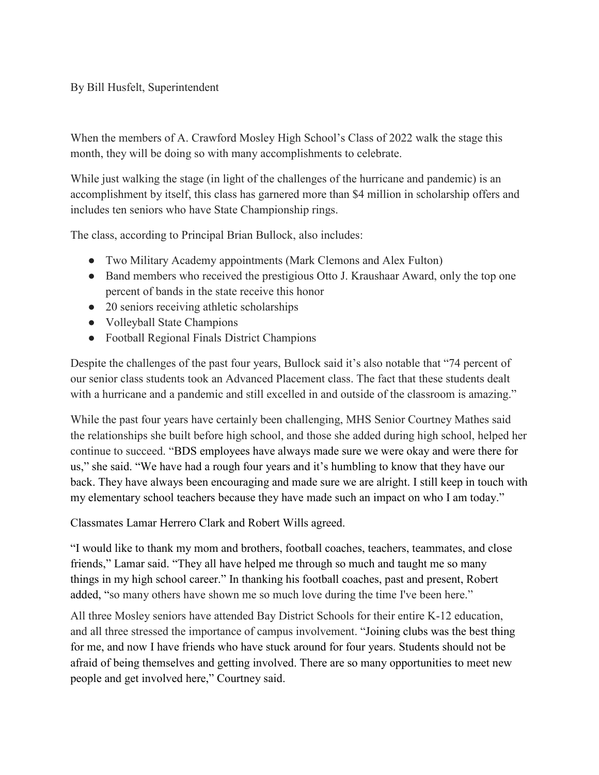## By Bill Husfelt, Superintendent

When the members of A. Crawford Mosley High School's Class of 2022 walk the stage this month, they will be doing so with many accomplishments to celebrate.

While just walking the stage (in light of the challenges of the hurricane and pandemic) is an accomplishment by itself, this class has garnered more than \$4 million in scholarship offers and includes ten seniors who have State Championship rings.

The class, according to Principal Brian Bullock, also includes:

- Two Military Academy appointments (Mark Clemons and Alex Fulton)
- Band members who received the prestigious Otto J. Kraushaar Award, only the top one percent of bands in the state receive this honor
- 20 seniors receiving athletic scholarships
- Volleyball State Champions
- Football Regional Finals District Champions

Despite the challenges of the past four years, Bullock said it's also notable that "74 percent of our senior class students took an Advanced Placement class. The fact that these students dealt with a hurricane and a pandemic and still excelled in and outside of the classroom is amazing."

While the past four years have certainly been challenging, MHS Senior Courtney Mathes said the relationships she built before high school, and those she added during high school, helped her continue to succeed. "BDS employees have always made sure we were okay and were there for us," she said. "We have had a rough four years and it's humbling to know that they have our back. They have always been encouraging and made sure we are alright. I still keep in touch with my elementary school teachers because they have made such an impact on who I am today."

Classmates Lamar Herrero Clark and Robert Wills agreed.

"I would like to thank my mom and brothers, football coaches, teachers, teammates, and close friends," Lamar said. "They all have helped me through so much and taught me so many things in my high school career." In thanking his football coaches, past and present, Robert added, "so many others have shown me so much love during the time I've been here."

All three Mosley seniors have attended Bay District Schools for their entire K-12 education, and all three stressed the importance of campus involvement. "Joining clubs was the best thing for me, and now I have friends who have stuck around for four years. Students should not be afraid of being themselves and getting involved. There are so many opportunities to meet new people and get involved here," Courtney said.